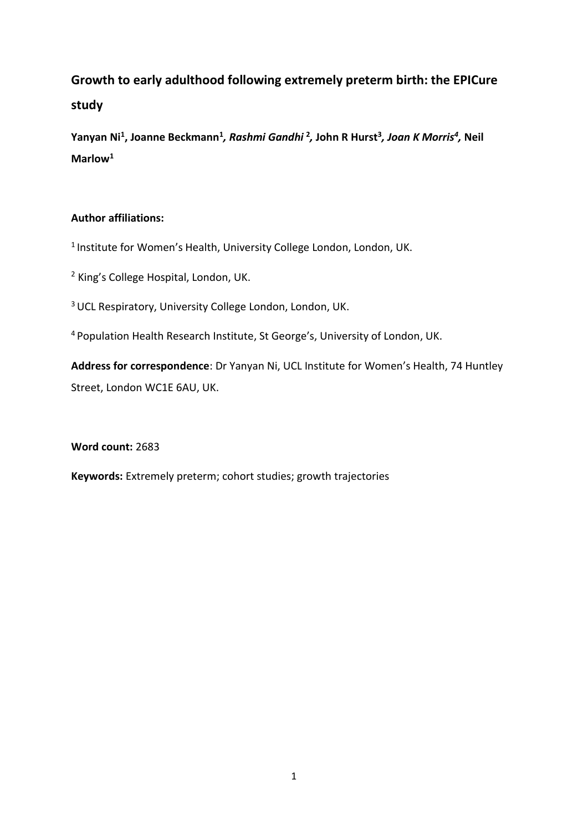# **Growth to early adulthood following extremely preterm birth: the EPICure study**

**Yanyan Ni<sup>1</sup> , Joanne Beckmann<sup>1</sup>** *, Rashmi Gandhi* **<sup>2</sup>** *,* **John R Hurst<sup>3</sup>** *, Joan K Morris<sup>4</sup> ,* **Neil Marlow<sup>1</sup>**

# **Author affiliations:**

<sup>1</sup> Institute for Women's Health, University College London, London, UK.

<sup>2</sup> King's College Hospital, London, UK.

<sup>3</sup> UCL Respiratory, University College London, London, UK.

<sup>4</sup>Population Health Research Institute, St George's, University of London, UK.

**Address for correspondence**: Dr Yanyan Ni, UCL Institute for Women's Health, 74 Huntley Street, London WC1E 6AU, UK.

**Word count:** 2683

**Keywords:** Extremely preterm; cohort studies; growth trajectories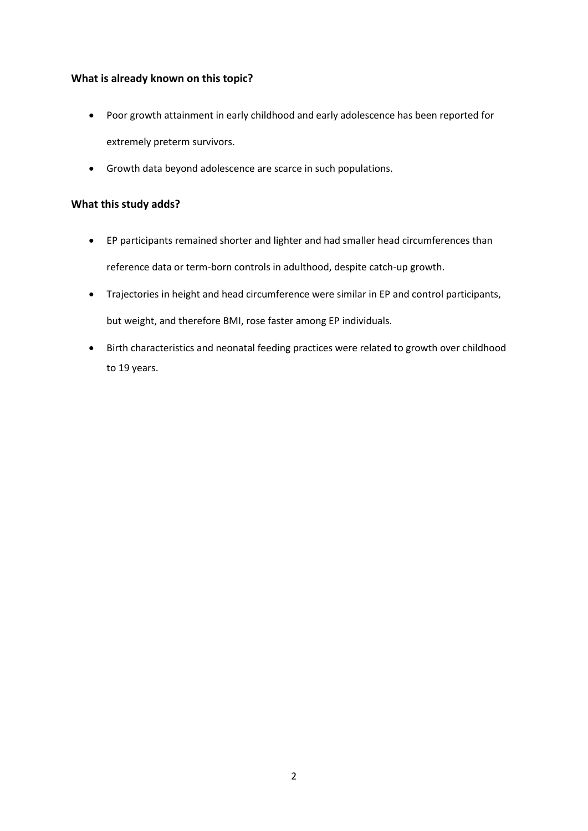## **What is already known on this topic?**

- Poor growth attainment in early childhood and early adolescence has been reported for extremely preterm survivors.
- Growth data beyond adolescence are scarce in such populations.

### **What this study adds?**

- EP participants remained shorter and lighter and had smaller head circumferences than reference data or term-born controls in adulthood, despite catch-up growth.
- Trajectories in height and head circumference were similar in EP and control participants, but weight, and therefore BMI, rose faster among EP individuals.
- Birth characteristics and neonatal feeding practices were related to growth over childhood to 19 years.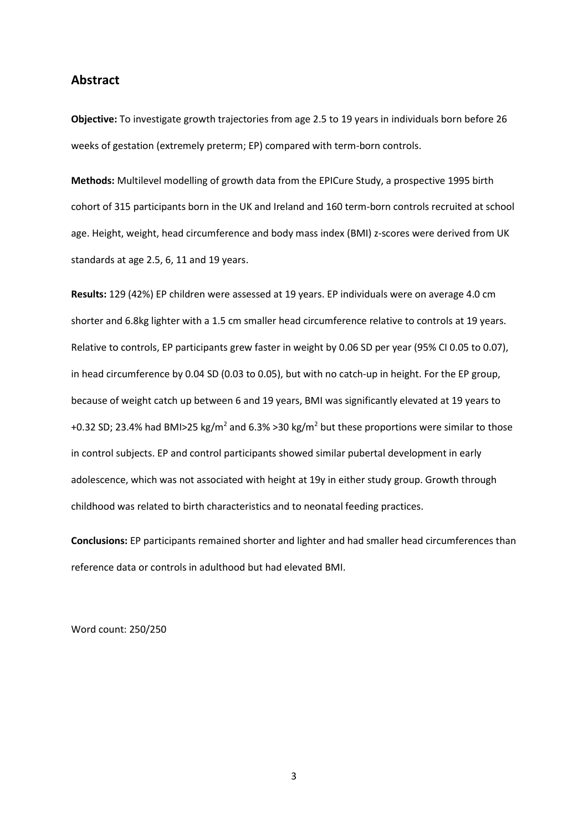#### **Abstract**

**Objective:** To investigate growth trajectories from age 2.5 to 19 years in individuals born before 26 weeks of gestation (extremely preterm; EP) compared with term-born controls.

**Methods:** Multilevel modelling of growth data from the EPICure Study, a prospective 1995 birth cohort of 315 participants born in the UK and Ireland and 160 term-born controls recruited at school age. Height, weight, head circumference and body mass index (BMI) z-scores were derived from UK standards at age 2.5, 6, 11 and 19 years.

**Results:** 129 (42%) EP children were assessed at 19 years. EP individuals were on average 4.0 cm shorter and 6.8kg lighter with a 1.5 cm smaller head circumference relative to controls at 19 years. Relative to controls, EP participants grew faster in weight by 0.06 SD per year (95% CI 0.05 to 0.07), in head circumference by 0.04 SD (0.03 to 0.05), but with no catch-up in height. For the EP group, because of weight catch up between 6 and 19 years, BMI was significantly elevated at 19 years to +0.32 SD; 23.4% had BMI>25 kg/m<sup>2</sup> and 6.3% >30 kg/m<sup>2</sup> but these proportions were similar to those in control subjects. EP and control participants showed similar pubertal development in early adolescence, which was not associated with height at 19y in either study group. Growth through childhood was related to birth characteristics and to neonatal feeding practices.

**Conclusions:** EP participants remained shorter and lighter and had smaller head circumferences than reference data or controls in adulthood but had elevated BMI.

Word count: 250/250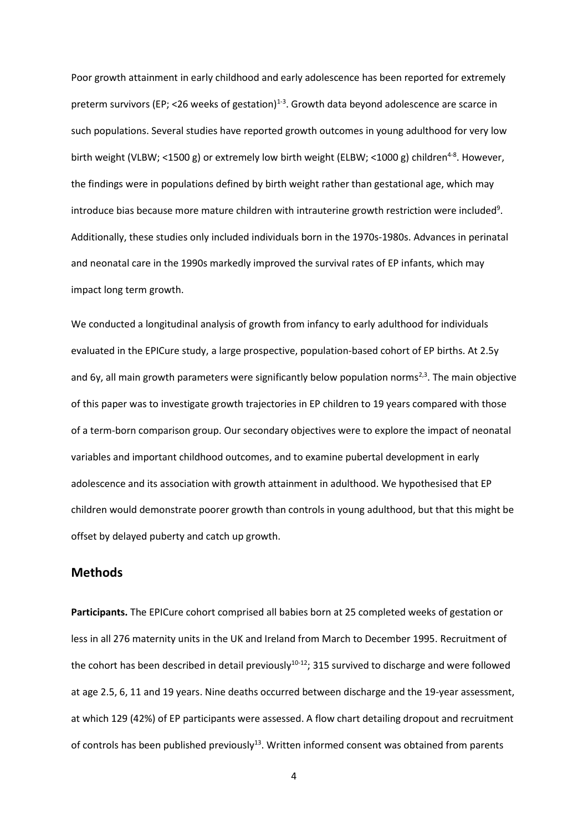Poor growth attainment in early childhood and early adolescence has been reported for extremely preterm survivors (EP; <26 weeks of gestation)<sup>1-3</sup>. Growth data beyond adolescence are scarce in such populations. Several studies have reported growth outcomes in young adulthood for very low birth weight (VLBW; <1500 g) or extremely low birth weight (ELBW; <1000 g) children<sup>4-8</sup>. However, the findings were in populations defined by birth weight rather than gestational age, which may introduce bias because more mature children with intrauterine growth restriction were included<sup>9</sup>. Additionally, these studies only included individuals born in the 1970s-1980s. Advances in perinatal and neonatal care in the 1990s markedly improved the survival rates of EP infants, which may impact long term growth.

We conducted a longitudinal analysis of growth from infancy to early adulthood for individuals evaluated in the EPICure study, a large prospective, population-based cohort of EP births. At 2.5y and 6y, all main growth parameters were significantly below population norms<sup>2,3</sup>. The main objective of this paper was to investigate growth trajectories in EP children to 19 years compared with those of a term-born comparison group. Our secondary objectives were to explore the impact of neonatal variables and important childhood outcomes, and to examine pubertal development in early adolescence and its association with growth attainment in adulthood. We hypothesised that EP children would demonstrate poorer growth than controls in young adulthood, but that this might be offset by delayed puberty and catch up growth.

#### **Methods**

**Participants.** The EPICure cohort comprised all babies born at 25 completed weeks of gestation or less in all 276 maternity units in the UK and Ireland from March to December 1995. Recruitment of the cohort has been described in detail previously $10^{-12}$ ; 315 survived to discharge and were followed at age 2.5, 6, 11 and 19 years. Nine deaths occurred between discharge and the 19-year assessment, at which 129 (42%) of EP participants were assessed. A flow chart detailing dropout and recruitment of controls has been published previously<sup>13</sup>. Written informed consent was obtained from parents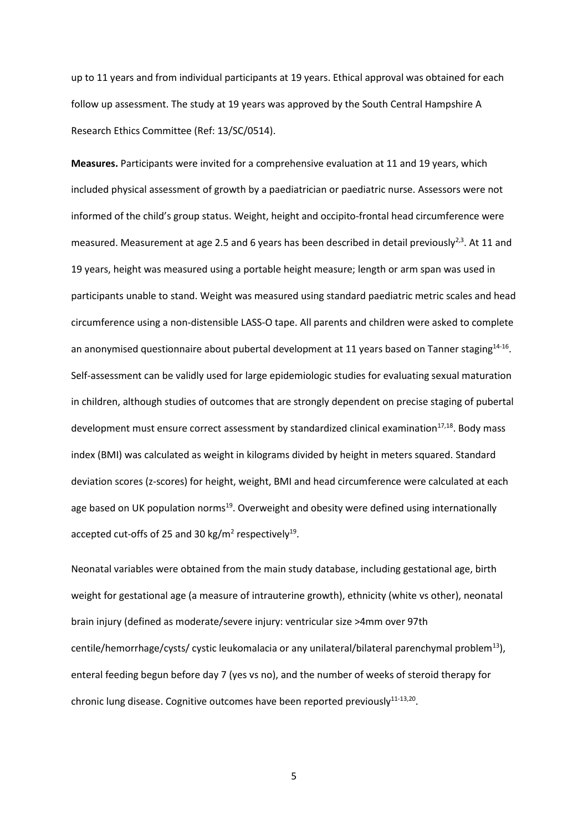up to 11 years and from individual participants at 19 years. Ethical approval was obtained for each follow up assessment. The study at 19 years was approved by the South Central Hampshire A Research Ethics Committee (Ref: 13/SC/0514).

**Measures.** Participants were invited for a comprehensive evaluation at 11 and 19 years, which included physical assessment of growth by a paediatrician or paediatric nurse. Assessors were not informed of the child's group status. Weight, height and occipito-frontal head circumference were measured. Measurement at age 2.5 and 6 years has been described in detail previously<sup>2,3</sup>. At 11 and 19 years, height was measured using a portable height measure; length or arm span was used in participants unable to stand. Weight was measured using standard paediatric metric scales and head circumference using a non-distensible LASS-O tape. All parents and children were asked to complete an anonymised questionnaire about pubertal development at 11 years based on Tanner staging<sup>14-16</sup>. Self-assessment can be validly used for large epidemiologic studies for evaluating sexual maturation in children, although studies of outcomes that are strongly dependent on precise staging of pubertal development must ensure correct assessment by standardized clinical examination<sup>17,18</sup>. Body mass index (BMI) was calculated as weight in kilograms divided by height in meters squared. Standard deviation scores (z-scores) for height, weight, BMI and head circumference were calculated at each age based on UK population norms<sup>19</sup>. Overweight and obesity were defined using internationally accepted cut-offs of 25 and 30 kg/m<sup>2</sup> respectively<sup>19</sup>.

Neonatal variables were obtained from the main study database, including gestational age, birth weight for gestational age (a measure of intrauterine growth), ethnicity (white vs other), neonatal brain injury (defined as moderate/severe injury: ventricular size >4mm over 97th centile/hemorrhage/cysts/ cystic leukomalacia or any unilateral/bilateral parenchymal problem<sup>13</sup>), enteral feeding begun before day 7 (yes vs no), and the number of weeks of steroid therapy for chronic lung disease. Cognitive outcomes have been reported previously $^{11-13,20}$ .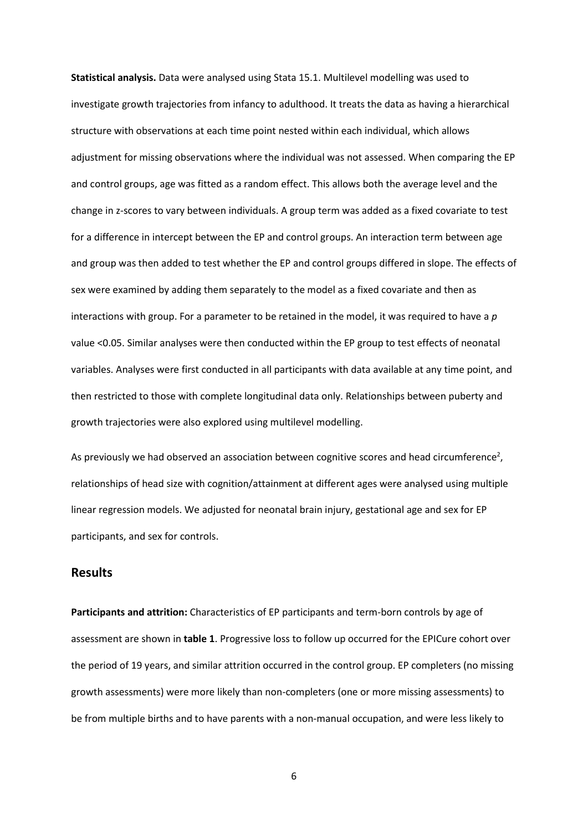**Statistical analysis.** Data were analysed using Stata 15.1. Multilevel modelling was used to investigate growth trajectories from infancy to adulthood. It treats the data as having a hierarchical structure with observations at each time point nested within each individual, which allows adjustment for missing observations where the individual was not assessed. When comparing the EP and control groups, age was fitted as a random effect. This allows both the average level and the change in z-scores to vary between individuals. A group term was added as a fixed covariate to test for a difference in intercept between the EP and control groups. An interaction term between age and group was then added to test whether the EP and control groups differed in slope. The effects of sex were examined by adding them separately to the model as a fixed covariate and then as interactions with group. For a parameter to be retained in the model, it was required to have a *p* value <0.05. Similar analyses were then conducted within the EP group to test effects of neonatal variables. Analyses were first conducted in all participants with data available at any time point, and then restricted to those with complete longitudinal data only. Relationships between puberty and growth trajectories were also explored using multilevel modelling.

As previously we had observed an association between cognitive scores and head circumference<sup>2</sup>, relationships of head size with cognition/attainment at different ages were analysed using multiple linear regression models. We adjusted for neonatal brain injury, gestational age and sex for EP participants, and sex for controls.

## **Results**

**Participants and attrition:** Characteristics of EP participants and term-born controls by age of assessment are shown in **table 1**. Progressive loss to follow up occurred for the EPICure cohort over the period of 19 years, and similar attrition occurred in the control group. EP completers (no missing growth assessments) were more likely than non-completers (one or more missing assessments) to be from multiple births and to have parents with a non-manual occupation, and were less likely to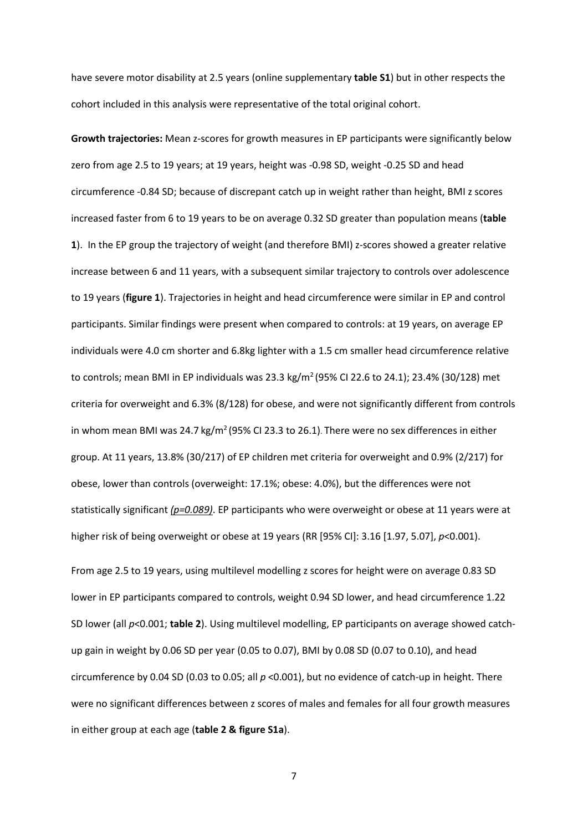have severe motor disability at 2.5 years (online supplementary **table S1**) but in other respects the cohort included in this analysis were representative of the total original cohort.

**Growth trajectories:** Mean z-scores for growth measures in EP participants were significantly below zero from age 2.5 to 19 years; at 19 years, height was -0.98 SD, weight -0.25 SD and head circumference -0.84 SD; because of discrepant catch up in weight rather than height, BMI z scores increased faster from 6 to 19 years to be on average 0.32 SD greater than population means (**table 1**). In the EP group the trajectory of weight (and therefore BMI) z-scores showed a greater relative increase between 6 and 11 years, with a subsequent similar trajectory to controls over adolescence to 19 years (**figure 1**). Trajectories in height and head circumference were similar in EP and control participants. Similar findings were present when compared to controls: at 19 years, on average EP individuals were 4.0 cm shorter and 6.8kg lighter with a 1.5 cm smaller head circumference relative to controls; mean BMI in EP individuals was 23.3 kg/m<sup>2</sup> (95% CI 22.6 to 24.1); 23.4% (30/128) met criteria for overweight and 6.3% (8/128) for obese, and were not significantly different from controls in whom mean BMI was  $24.7 \text{ kg/m}^2$  (95% CI 23.3 to 26.1). There were no sex differences in either group. At 11 years, 13.8% (30/217) of EP children met criteria for overweight and 0.9% (2/217) for obese, lower than controls (overweight: 17.1%; obese: 4.0%), but the differences were not statistically significant *(p=0.089)*. EP participants who were overweight or obese at 11 years were at higher risk of being overweight or obese at 19 years (RR [95% CI]: 3.16 [1.97, 5.07], *p*<0.001).

From age 2.5 to 19 years, using multilevel modelling z scores for height were on average 0.83 SD lower in EP participants compared to controls, weight 0.94 SD lower, and head circumference 1.22 SD lower (all *p*<0.001; **table 2**). Using multilevel modelling, EP participants on average showed catchup gain in weight by 0.06 SD per year (0.05 to 0.07), BMI by 0.08 SD (0.07 to 0.10), and head circumference by 0.04 SD (0.03 to 0.05; all *p* <0.001), but no evidence of catch-up in height. There were no significant differences between z scores of males and females for all four growth measures in either group at each age (**table 2 & figure S1a**).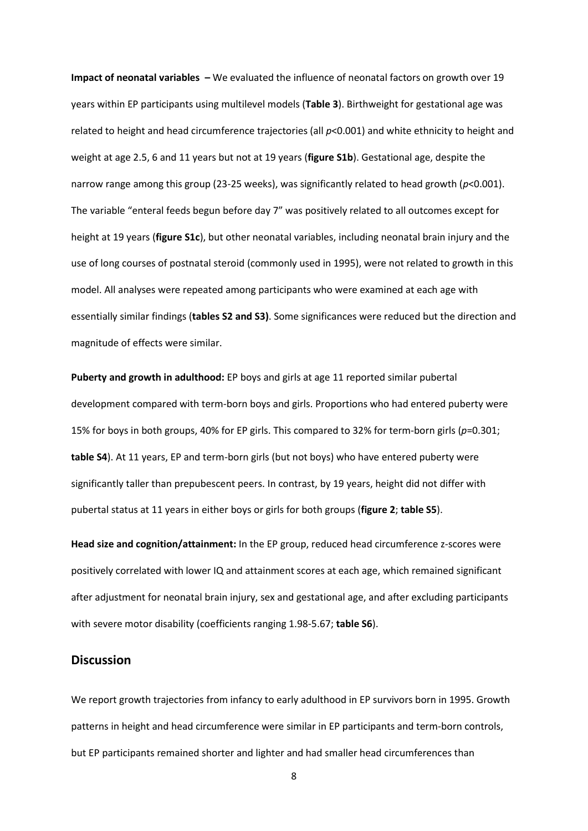**Impact of neonatal variables –** We evaluated the influence of neonatal factors on growth over 19 years within EP participants using multilevel models (**Table 3**). Birthweight for gestational age was related to height and head circumference trajectories (all *p*<0.001) and white ethnicity to height and weight at age 2.5, 6 and 11 years but not at 19 years (**figure S1b**). Gestational age, despite the narrow range among this group (23-25 weeks), was significantly related to head growth (*p*<0.001). The variable "enteral feeds begun before day 7" was positively related to all outcomes except for height at 19 years (**figure S1c**), but other neonatal variables, including neonatal brain injury and the use of long courses of postnatal steroid (commonly used in 1995), were not related to growth in this model. All analyses were repeated among participants who were examined at each age with essentially similar findings (**tables S2 and S3)**. Some significances were reduced but the direction and magnitude of effects were similar.

**Puberty and growth in adulthood:** EP boys and girls at age 11 reported similar pubertal development compared with term-born boys and girls. Proportions who had entered puberty were 15% for boys in both groups, 40% for EP girls. This compared to 32% for term-born girls (*p*=0.301; **table S4**). At 11 years, EP and term-born girls (but not boys) who have entered puberty were significantly taller than prepubescent peers. In contrast, by 19 years, height did not differ with pubertal status at 11 years in either boys or girls for both groups (**figure 2**; **table S5**).

**Head size and cognition/attainment:** In the EP group, reduced head circumference z-scores were positively correlated with lower IQ and attainment scores at each age, which remained significant after adjustment for neonatal brain injury, sex and gestational age, and after excluding participants with severe motor disability (coefficients ranging 1.98-5.67; **table S6**).

#### **Discussion**

We report growth trajectories from infancy to early adulthood in EP survivors born in 1995. Growth patterns in height and head circumference were similar in EP participants and term-born controls, but EP participants remained shorter and lighter and had smaller head circumferences than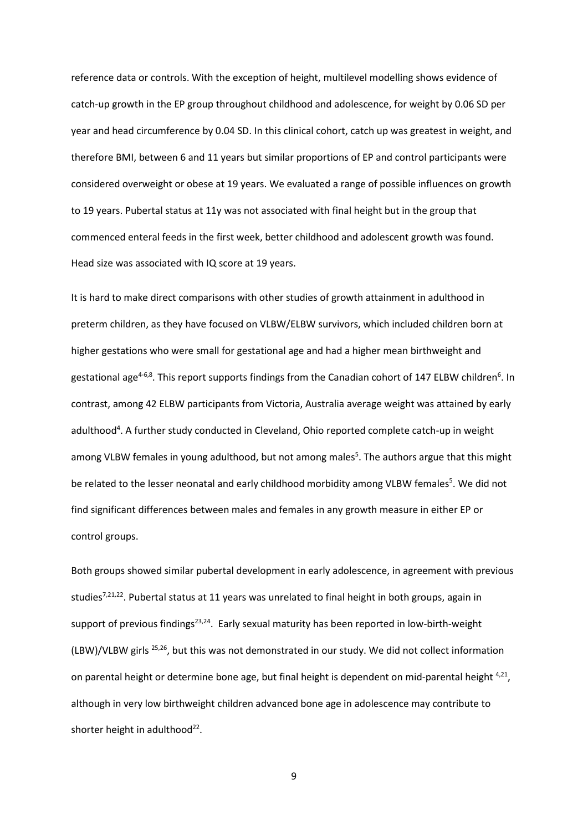reference data or controls. With the exception of height, multilevel modelling shows evidence of catch-up growth in the EP group throughout childhood and adolescence, for weight by 0.06 SD per year and head circumference by 0.04 SD. In this clinical cohort, catch up was greatest in weight, and therefore BMI, between 6 and 11 years but similar proportions of EP and control participants were considered overweight or obese at 19 years. We evaluated a range of possible influences on growth to 19 years. Pubertal status at 11y was not associated with final height but in the group that commenced enteral feeds in the first week, better childhood and adolescent growth was found. Head size was associated with IQ score at 19 years.

It is hard to make direct comparisons with other studies of growth attainment in adulthood in preterm children, as they have focused on VLBW/ELBW survivors, which included children born at higher gestations who were small for gestational age and had a higher mean birthweight and gestational age<sup>4-6,8</sup>. This report supports findings from the Canadian cohort of 147 ELBW children<sup>6</sup>. In contrast, among 42 ELBW participants from Victoria, Australia average weight was attained by early adulthood<sup>4</sup>. A further study conducted in Cleveland, Ohio reported complete catch-up in weight among VLBW females in young adulthood, but not among males<sup>5</sup>. The authors argue that this might be related to the lesser neonatal and early childhood morbidity among VLBW females<sup>5</sup>. We did not find significant differences between males and females in any growth measure in either EP or control groups.

Both groups showed similar pubertal development in early adolescence, in agreement with previous studies<sup>7,21,22</sup>. Pubertal status at 11 years was unrelated to final height in both groups, again in support of previous findings<sup>23,24</sup>. Early sexual maturity has been reported in low-birth-weight (LBW)/VLBW girls 25,26, but this was not demonstrated in our study. We did not collect information on parental height or determine bone age, but final height is dependent on mid-parental height 4,21, although in very low birthweight children advanced bone age in adolescence may contribute to shorter height in adulthood $^{22}$ .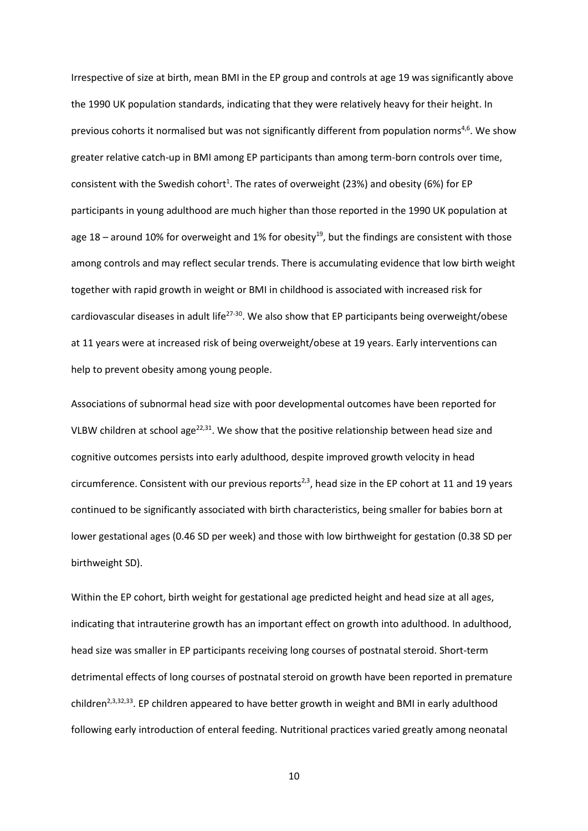Irrespective of size at birth, mean BMI in the EP group and controls at age 19 was significantly above the 1990 UK population standards, indicating that they were relatively heavy for their height. In previous cohorts it normalised but was not significantly different from population norms<sup>4,6</sup>. We show greater relative catch-up in BMI among EP participants than among term-born controls over time, consistent with the Swedish cohort<sup>1</sup>. The rates of overweight (23%) and obesity (6%) for EP participants in young adulthood are much higher than those reported in the 1990 UK population at age 18 – around 10% for overweight and 1% for obesity<sup>19</sup>, but the findings are consistent with those among controls and may reflect secular trends. There is accumulating evidence that low birth weight together with rapid growth in weight or BMI in childhood is associated with increased risk for cardiovascular diseases in adult life<sup>27-30</sup>. We also show that EP participants being overweight/obese at 11 years were at increased risk of being overweight/obese at 19 years. Early interventions can help to prevent obesity among young people.

Associations of subnormal head size with poor developmental outcomes have been reported for VLBW children at school age<sup>22,31</sup>. We show that the positive relationship between head size and cognitive outcomes persists into early adulthood, despite improved growth velocity in head circumference. Consistent with our previous reports<sup>2,3</sup>, head size in the EP cohort at 11 and 19 years continued to be significantly associated with birth characteristics, being smaller for babies born at lower gestational ages (0.46 SD per week) and those with low birthweight for gestation (0.38 SD per birthweight SD).

Within the EP cohort, birth weight for gestational age predicted height and head size at all ages, indicating that intrauterine growth has an important effect on growth into adulthood. In adulthood, head size was smaller in EP participants receiving long courses of postnatal steroid. Short-term detrimental effects of long courses of postnatal steroid on growth have been reported in premature children<sup>2,3,32,33</sup>. EP children appeared to have better growth in weight and BMI in early adulthood following early introduction of enteral feeding. Nutritional practices varied greatly among neonatal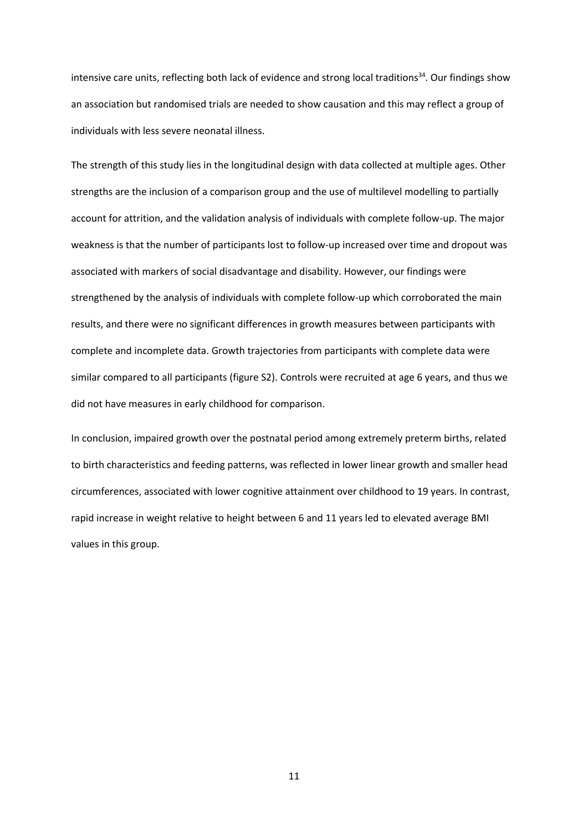intensive care units, reflecting both lack of evidence and strong local traditions<sup>34</sup>. Our findings show an association but randomised trials are needed to show causation and this may reflect a group of individuals with less severe neonatal illness.

The strength of this study lies in the longitudinal design with data collected at multiple ages. Other strengths are the inclusion of a comparison group and the use of multilevel modelling to partially account for attrition, and the validation analysis of individuals with complete follow-up. The major weakness is that the number of participants lost to follow-up increased over time and dropout was associated with markers of social disadvantage and disability. However, our findings were strengthened by the analysis of individuals with complete follow-up which corroborated the main results, and there were no significant differences in growth measures between participants with complete and incomplete data. Growth trajectories from participants with complete data were similar compared to all participants (figure S2). Controls were recruited at age 6 years, and thus we did not have measures in early childhood for comparison.

In conclusion, impaired growth over the postnatal period among extremely preterm births, related to birth characteristics and feeding patterns, was reflected in lower linear growth and smaller head circumferences, associated with lower cognitive attainment over childhood to 19 years. In contrast, rapid increase in weight relative to height between 6 and 11 years led to elevated average BMI values in this group.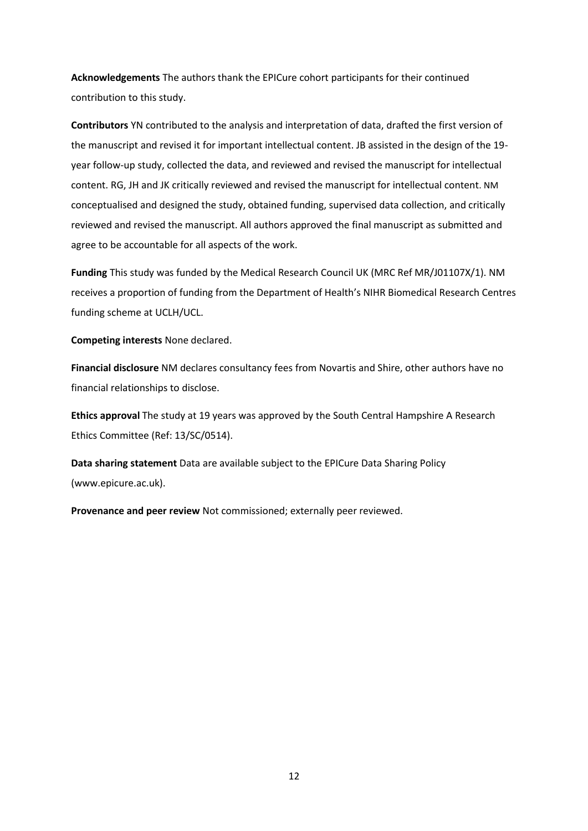**Acknowledgements** The authors thank the EPICure cohort participants for their continued contribution to this study.

**Contributors** YN contributed to the analysis and interpretation of data, drafted the first version of the manuscript and revised it for important intellectual content. JB assisted in the design of the 19 year follow-up study, collected the data, and reviewed and revised the manuscript for intellectual content. RG, JH and JK critically reviewed and revised the manuscript for intellectual content. NM conceptualised and designed the study, obtained funding, supervised data collection, and critically reviewed and revised the manuscript. All authors approved the final manuscript as submitted and agree to be accountable for all aspects of the work.

**Funding** This study was funded by the Medical Research Council UK (MRC Ref MR/J01107X/1). NM receives a proportion of funding from the Department of Health's NIHR Biomedical Research Centres funding scheme at UCLH/UCL.

**Competing interests** None declared.

**Financial disclosure** NM declares consultancy fees from Novartis and Shire, other authors have no financial relationships to disclose.

**Ethics approval** The study at 19 years was approved by the South Central Hampshire A Research Ethics Committee (Ref: 13/SC/0514).

**Data sharing statement** Data are available subject to the EPICure Data Sharing Policy (www.epicure.ac.uk).

**Provenance and peer review** Not commissioned; externally peer reviewed.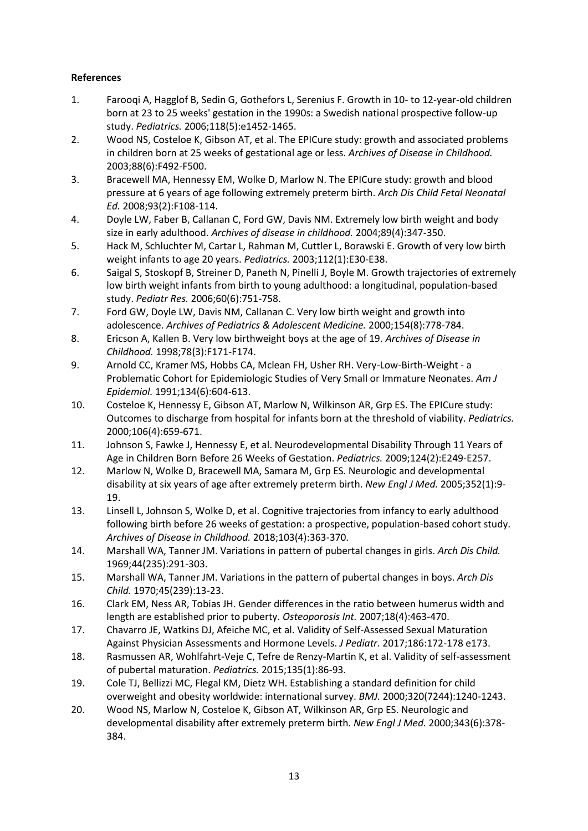# **References**

- 1. Farooqi A, Hagglof B, Sedin G, Gothefors L, Serenius F. Growth in 10- to 12-year-old children born at 23 to 25 weeks' gestation in the 1990s: a Swedish national prospective follow-up study. *Pediatrics.* 2006;118(5):e1452-1465.
- 2. Wood NS, Costeloe K, Gibson AT, et al. The EPICure study: growth and associated problems in children born at 25 weeks of gestational age or less. *Archives of Disease in Childhood.*  2003;88(6):F492-F500.
- 3. Bracewell MA, Hennessy EM, Wolke D, Marlow N. The EPICure study: growth and blood pressure at 6 years of age following extremely preterm birth. *Arch Dis Child Fetal Neonatal Ed.* 2008;93(2):F108-114.
- 4. Doyle LW, Faber B, Callanan C, Ford GW, Davis NM. Extremely low birth weight and body size in early adulthood. *Archives of disease in childhood.* 2004;89(4):347-350.
- 5. Hack M, Schluchter M, Cartar L, Rahman M, Cuttler L, Borawski E. Growth of very low birth weight infants to age 20 years. *Pediatrics.* 2003;112(1):E30-E38.
- 6. Saigal S, Stoskopf B, Streiner D, Paneth N, Pinelli J, Boyle M. Growth trajectories of extremely low birth weight infants from birth to young adulthood: a longitudinal, population-based study. *Pediatr Res.* 2006;60(6):751-758.
- 7. Ford GW, Doyle LW, Davis NM, Callanan C. Very low birth weight and growth into adolescence. *Archives of Pediatrics & Adolescent Medicine.* 2000;154(8):778-784.
- 8. Ericson A, Kallen B. Very low birthweight boys at the age of 19. *Archives of Disease in Childhood.* 1998;78(3):F171-F174.
- 9. Arnold CC, Kramer MS, Hobbs CA, Mclean FH, Usher RH. Very-Low-Birth-Weight a Problematic Cohort for Epidemiologic Studies of Very Small or Immature Neonates. *Am J Epidemiol.* 1991;134(6):604-613.
- 10. Costeloe K, Hennessy E, Gibson AT, Marlow N, Wilkinson AR, Grp ES. The EPICure study: Outcomes to discharge from hospital for infants born at the threshold of viability. *Pediatrics.*  2000;106(4):659-671.
- 11. Johnson S, Fawke J, Hennessy E, et al. Neurodevelopmental Disability Through 11 Years of Age in Children Born Before 26 Weeks of Gestation. *Pediatrics.* 2009;124(2):E249-E257.
- 12. Marlow N, Wolke D, Bracewell MA, Samara M, Grp ES. Neurologic and developmental disability at six years of age after extremely preterm birth. *New Engl J Med.* 2005;352(1):9- 19.
- 13. Linsell L, Johnson S, Wolke D, et al. Cognitive trajectories from infancy to early adulthood following birth before 26 weeks of gestation: a prospective, population-based cohort study. *Archives of Disease in Childhood.* 2018;103(4):363-370.
- 14. Marshall WA, Tanner JM. Variations in pattern of pubertal changes in girls. *Arch Dis Child.*  1969;44(235):291-303.
- 15. Marshall WA, Tanner JM. Variations in the pattern of pubertal changes in boys. *Arch Dis Child.* 1970;45(239):13-23.
- 16. Clark EM, Ness AR, Tobias JH. Gender differences in the ratio between humerus width and length are established prior to puberty. *Osteoporosis Int.* 2007;18(4):463-470.
- 17. Chavarro JE, Watkins DJ, Afeiche MC, et al. Validity of Self-Assessed Sexual Maturation Against Physician Assessments and Hormone Levels. *J Pediatr.* 2017;186:172-178 e173.
- 18. Rasmussen AR, Wohlfahrt-Veje C, Tefre de Renzy-Martin K, et al. Validity of self-assessment of pubertal maturation. *Pediatrics.* 2015;135(1):86-93.
- 19. Cole TJ, Bellizzi MC, Flegal KM, Dietz WH. Establishing a standard definition for child overweight and obesity worldwide: international survey. *BMJ.* 2000;320(7244):1240-1243.
- 20. Wood NS, Marlow N, Costeloe K, Gibson AT, Wilkinson AR, Grp ES. Neurologic and developmental disability after extremely preterm birth. *New Engl J Med.* 2000;343(6):378- 384.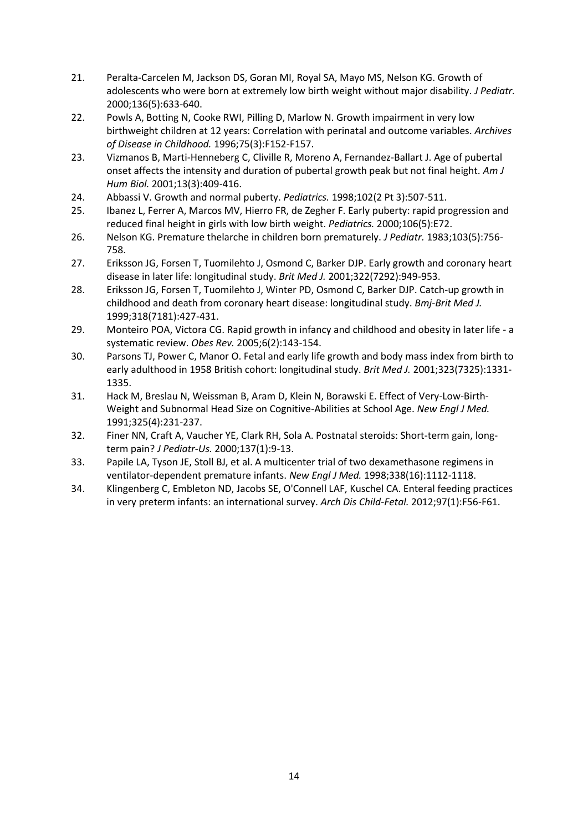- 21. Peralta-Carcelen M, Jackson DS, Goran MI, Royal SA, Mayo MS, Nelson KG. Growth of adolescents who were born at extremely low birth weight without major disability. *J Pediatr.*  2000;136(5):633-640.
- 22. Powls A, Botting N, Cooke RWI, Pilling D, Marlow N. Growth impairment in very low birthweight children at 12 years: Correlation with perinatal and outcome variables. *Archives of Disease in Childhood.* 1996;75(3):F152-F157.
- 23. Vizmanos B, Marti-Henneberg C, Cliville R, Moreno A, Fernandez-Ballart J. Age of pubertal onset affects the intensity and duration of pubertal growth peak but not final height. *Am J Hum Biol.* 2001;13(3):409-416.
- 24. Abbassi V. Growth and normal puberty. *Pediatrics.* 1998;102(2 Pt 3):507-511.
- 25. Ibanez L, Ferrer A, Marcos MV, Hierro FR, de Zegher F. Early puberty: rapid progression and reduced final height in girls with low birth weight. *Pediatrics.* 2000;106(5):E72.
- 26. Nelson KG. Premature thelarche in children born prematurely. *J Pediatr.* 1983;103(5):756- 758.
- 27. Eriksson JG, Forsen T, Tuomilehto J, Osmond C, Barker DJP. Early growth and coronary heart disease in later life: longitudinal study. *Brit Med J.* 2001;322(7292):949-953.
- 28. Eriksson JG, Forsen T, Tuomilehto J, Winter PD, Osmond C, Barker DJP. Catch-up growth in childhood and death from coronary heart disease: longitudinal study. *Bmj-Brit Med J.*  1999;318(7181):427-431.
- 29. Monteiro POA, Victora CG. Rapid growth in infancy and childhood and obesity in later life a systematic review. *Obes Rev.* 2005;6(2):143-154.
- 30. Parsons TJ, Power C, Manor O. Fetal and early life growth and body mass index from birth to early adulthood in 1958 British cohort: longitudinal study. *Brit Med J.* 2001;323(7325):1331- 1335.
- 31. Hack M, Breslau N, Weissman B, Aram D, Klein N, Borawski E. Effect of Very-Low-Birth-Weight and Subnormal Head Size on Cognitive-Abilities at School Age. *New Engl J Med.*  1991;325(4):231-237.
- 32. Finer NN, Craft A, Vaucher YE, Clark RH, Sola A. Postnatal steroids: Short-term gain, longterm pain? *J Pediatr-Us.* 2000;137(1):9-13.
- 33. Papile LA, Tyson JE, Stoll BJ, et al. A multicenter trial of two dexamethasone regimens in ventilator-dependent premature infants. *New Engl J Med.* 1998;338(16):1112-1118.
- 34. Klingenberg C, Embleton ND, Jacobs SE, O'Connell LAF, Kuschel CA. Enteral feeding practices in very preterm infants: an international survey. *Arch Dis Child-Fetal.* 2012;97(1):F56-F61.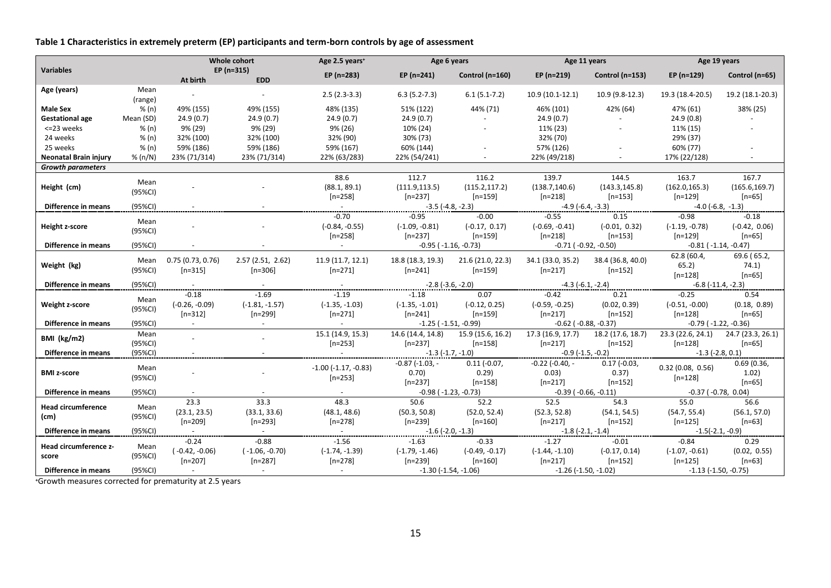**Table 1 Characteristics in extremely preterm (EP) participants and term-born controls by age of assessment** 

|                              |                 | Whole cohort     |                           | Age 2.5 years <sup>+</sup> | Age 6 years                           |                   | Age 11 years                  |                               | Age 19 years                         |                   |
|------------------------------|-----------------|------------------|---------------------------|----------------------------|---------------------------------------|-------------------|-------------------------------|-------------------------------|--------------------------------------|-------------------|
| <b>Variables</b>             |                 | At birth         | $EP(n=315)$<br><b>EDD</b> | EP (n=283)                 | EP $(n=241)$                          | Control (n=160)   | EP $(n=219)$                  | Control (n=153)               | $EP(n=129)$                          | Control (n=65)    |
| Age (years)                  | Mean<br>(range) |                  |                           | $2.5(2.3-3.3)$             | $6.3(5.2-7.3)$                        | $6.1(5.1-7.2)$    | 10.9 (10.1-12.1)              | 10.9 (9.8-12.3)               | 19.3 (18.4-20.5)                     | 19.2 (18.1-20.3)  |
| <b>Male Sex</b>              | % (n)           | 49% (155)        | 49% (155)                 | 48% (135)                  | 51% (122)                             | 44% (71)          | 46% (101)                     | 42% (64)                      | 47% (61)                             | 38% (25)          |
| <b>Gestational age</b>       | Mean (SD)       | 24.9(0.7)        | 24.9(0.7)                 | 24.9(0.7)                  | 24.9(0.7)                             |                   | 24.9(0.7)                     | $\sim$                        | 24.9(0.8)                            |                   |
| <= 23 weeks                  | % (n)           | 9% (29)          | 9% (29)                   | 9% (26)                    | 10% (24)                              |                   | 11% (23)                      |                               | 11% (15)                             |                   |
| 24 weeks                     | % (n)           | 32% (100)        | 32% (100)                 | 32% (90)                   | 30% (73)                              |                   | 32% (70)                      |                               | 29% (37)                             |                   |
| 25 weeks                     | % (n)           | 59% (186)        | 59% (186)                 | 59% (167)                  | 60% (144)                             |                   | 57% (126)                     |                               | 60% (77)                             |                   |
| <b>Neonatal Brain injury</b> | % (n/N)         | 23% (71/314)     | 23% (71/314)              | 22% (63/283)               | 22% (54/241)                          |                   | 22% (49/218)                  |                               | 17% (22/128)                         |                   |
| <b>Growth parameters</b>     |                 |                  |                           |                            |                                       |                   |                               |                               |                                      |                   |
|                              | Mean            |                  |                           | 88.6                       | 112.7                                 | 116.2             | 139.7                         | 144.5                         | 163.7                                | 167.7             |
| Height (cm)                  | $(95\%CI)$      |                  |                           | (88.1, 89.1)               | (111.9, 113.5)                        | (115.2, 117.2)    | (138.7, 140.6)                | (143.3, 145.8)                | (162.0, 165.3)                       | (165.6, 169.7)    |
|                              |                 |                  |                           | $[n=258]$                  | $[n=237]$                             | $[n=159]$         | $[n=218]$                     | $[n=153]$                     | $[n=129]$                            | $[n=65]$          |
| Difference in means          | (95%CI)         |                  |                           |                            | $-3.5(-4.8,-2.3)$                     |                   | $-4.9(-6.4,-3.3)$<br>.        |                               | $-4.0$ ( $-6.8$ , $-1.3$ )           |                   |
|                              | Mean            |                  |                           | $-0.70$                    | $-0.95$                               | $-0.00$           | $-0.55$                       | 0.15                          | $-0.98$                              | $-0.18$           |
| Height z-score               | (95%CI)         |                  |                           | $(-0.84, -0.55)$           | $(-1.09, -0.81)$                      | $(-0.17, 0.17)$   | $(-0.69, -0.41)$              | $(-0.01, 0.32)$               | $(-1.19, -0.78)$                     | $(-0.42, 0.06)$   |
|                              |                 |                  |                           | $[n=258]$                  | $[n=237]$                             | $[n=159]$         | $[n=218]$                     | $[n=153]$                     | $[n=129]$                            | $[n=65]$          |
| Difference in means          | (95%CI)         |                  |                           |                            | $-0.95$ ( $-1.16$ , $-0.73$ )         |                   | $-0.71$ ( $-0.92$ , $-0.50$ ) |                               | $-0.81$ ( $-1.14$ , $-0.47$ )        |                   |
|                              | Mean            | 0.75(0.73, 0.76) | 2.57(2.51, 2.62)          | 11.9 (11.7, 12.1)          | 18.8 (18.3, 19.3)                     | 21.6 (21.0, 22.3) | 34.1 (33.0, 35.2)             | 38.4 (36.8, 40.0)             | 62.8 (60.4,                          | 69.6 (65.2,       |
| Weight (kg)                  | (95%CI)         | $[n=315]$        | $[n=306]$                 | $[n=271]$                  | $[n=241]$                             | $[n=159]$         | $[n=217]$                     | $[n=152]$                     | 65.2)                                | 74.1)             |
|                              |                 |                  |                           |                            |                                       |                   |                               |                               | $[n=128]$                            | $[n=65]$          |
| Difference in means          | (95%CI)         |                  |                           |                            |                                       |                   | $-4.3(-6.1,-2.4)$             |                               | $-6.8$ ( $-11.4$ , $-2.3$ )          |                   |
|                              | Mean            | $-0.18$          | $-1.69$                   | $-1.19$                    | $-1.18$                               | 0.07              | $-0.42$                       | 0.21                          | $-0.25$                              | 0.54              |
| Weight z-score               | (95%CI)         | $(-0.26, -0.09)$ | $(-1.81, -1.57)$          | $(-1.35, -1.03)$           | $(-1.35, -1.01)$                      | $(-0.12, 0.25)$   | $(-0.59, -0.25)$              | (0.02, 0.39)                  | $(-0.51, -0.00)$                     | (0.18, 0.89)      |
|                              |                 | $[n=312]$        | $[n=299]$                 | $[n=271]$                  | $[n=241]$                             | $[n=159]$         | $[n=217]$                     | $[n=152]$                     | $[n=128]$                            | $[n=65]$          |
| Difference in means          | (95%CI)         |                  |                           | $\sim$                     | $-1.25$ ( $-1.51$ , $-0.99$ )         |                   | $-0.62$ ( $-0.88$ , $-0.37$ ) |                               | $-0.79$ ( $-1.22$ , $-0.36$ )        |                   |
| BMI (kg/m2)                  | Mean            |                  |                           | 15.1 (14.9, 15.3)          | 14.6 (14.4, 14.8)                     | 15.9 (15.6, 16.2) | 17.3 (16.9, 17.7)             | 18.2 (17.6, 18.7)             | 23.3(22.6, 24.1)                     | 24.7 (23.3, 26.1) |
|                              | (95%CI)         |                  |                           | $[n=253]$                  | $[n=237]$                             | $[n=158]$         | $[n=217]$                     | $[n=152]$                     | $[n=128]$                            | $[n=65]$          |
| Difference in means          | (95%CI)         |                  |                           | $\sim 10^{-10}$            | $\frac{-1.3(-1.7,-1.0)}{2}$           |                   | $-0.9$ (-1.5, -0.2)           |                               | $-1.3$ $(-2.8, 0.1)$                 |                   |
|                              | Mean            |                  |                           | $-1.00$ $(-1.17, -0.83)$   | $-0.87$ ( $-1.03$ , $-$               | $0.11 (-0.07,$    | $-0.22$ ( $-0.40$ , $-$       | $0.17$ ( $-0.03$ ,            | 0.32(0.08, 0.56)                     | 0.69(0.36,        |
| <b>BMI z-score</b>           | (95%CI)         |                  |                           | $[n=253]$                  | 0.70)                                 | 0.29)             | 0.03)                         | 0.37)                         | $[n=128]$                            | 1.02)             |
|                              |                 |                  |                           |                            | $[n=237]$                             | $[n=158]$         | $[n=217]$                     | $[n=152]$                     |                                      | $[n=65]$          |
| Difference in means          | (95%CI)         | 23.3             | 33.3                      | 48.3                       | $-0.98$ ( $-1.23$ , $-0.73$ )<br>50.6 | 52.2              | 52.5                          | -0.39 ( -0.66, -0.11)<br>54.3 | $-0.37$ ( $-0.78$ , $0.04$ )<br>55.0 | 56.6              |
| <b>Head circumference</b>    | Mean            | (23.1, 23.5)     | (33.1, 33.6)              | (48.1, 48.6)               | (50.3, 50.8)                          | (52.0, 52.4)      | (52.3, 52.8)                  | (54.1, 54.5)                  | (54.7, 55.4)                         | (56.1, 57.0)      |
| (cm)                         | (95%CI)         | $[n=209]$        | $[n=293]$                 | $[n=278]$                  | $[n=239]$                             | $[n=160]$         | $[n=217]$                     | $[n=152]$                     | $[n=125]$                            | $[n=63]$          |
| Difference in means          | (95%CI)         | $\sim$           |                           |                            | $-1.6$ (-2.0, -1.3)                   |                   | $-1.8$ (-2.1, -1.4)           |                               | $-1.5(-2.1, -0.9)$                   |                   |
|                              |                 | $-0.24$          | $-0.88$                   | $-1.56$                    | $-1.63$                               | $-0.33$           | $-1.27$                       | $-0.01$                       | $-0.84$                              | 0.29              |
| Head circumference z-        | Mean            | $(-0.42, -0.06)$ | $(-1.06, -0.70)$          | $(-1.74, -1.39)$           | $(-1.79, -1.46)$                      | $(-0.49, -0.17)$  | $(-1.44, -1.10)$              | $(-0.17, 0.14)$               | $(-1.07, -0.61)$                     | (0.02, 0.55)      |
| score                        | (95%CI)         | $[n=207]$        | $[n=287]$                 | $[n=278]$                  | $[n=239]$                             | $[n=160]$         | $[n=217]$                     | $[n=152]$                     | $[n=125]$                            | $[n=63]$          |
| Difference in means          | (95%CI)         |                  | $\sim$ 10 $\pm$           | $\sim$ $ \sim$             | $-1.30$ (-1.54, -1.06)                |                   | $-1.26$ (-1.50, -1.02)        |                               | $-1.13$ ( $-1.50$ , $-0.75$ )        |                   |

**<sup>+</sup>**Growth measures corrected for prematurity at 2.5 years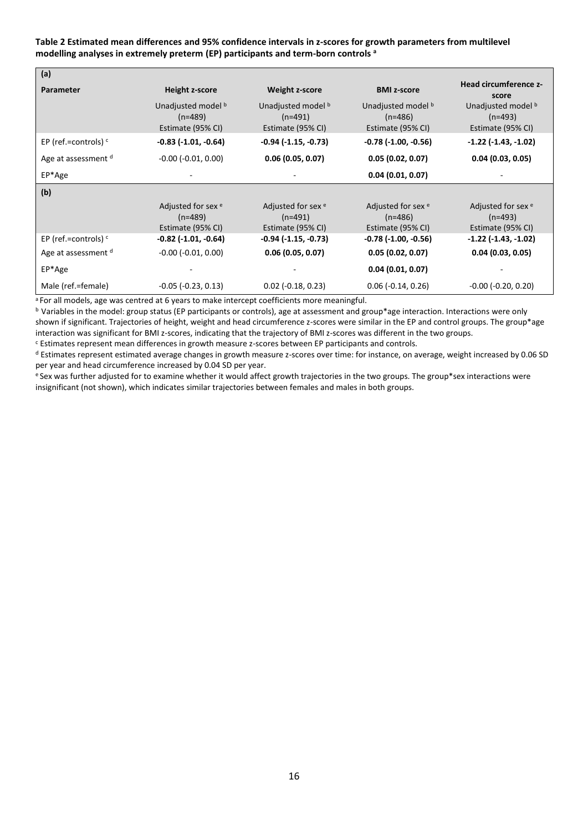#### **Table 2 Estimated mean differences and 95% confidence intervals in z-scores for growth parameters from multilevel modelling analyses in extremely preterm (EP) participants and term-born controls <sup>a</sup>**

| (a)                    |                                                                 |                                                                 |                                                                 |                                                                 |  |
|------------------------|-----------------------------------------------------------------|-----------------------------------------------------------------|-----------------------------------------------------------------|-----------------------------------------------------------------|--|
| Parameter              | Height z-score                                                  | <b>Weight z-score</b>                                           | <b>BMI z-score</b>                                              | Head circumference z-<br>score                                  |  |
|                        | Unadjusted model b<br>$(n=489)$<br>Estimate (95% CI)            | Unadjusted model b<br>$(n=491)$<br>Estimate (95% CI)            | Unadjusted model b<br>$(n=486)$<br>Estimate (95% CI)            | Unadjusted model b<br>$(n=493)$<br>Estimate (95% CI)            |  |
| EP (ref.=controls) $c$ | $-0.83$ $(-1.01, -0.64)$                                        | $-0.94$ ( $-1.15$ , $-0.73$ )                                   | $-0.78$ ( $-1.00$ , $-0.56$ )                                   | $-1.22$ ( $-1.43$ , $-1.02$ )                                   |  |
| Age at assessment d    | $-0.00$ $(-0.01, 0.00)$                                         | 0.06(0.05, 0.07)                                                | 0.05(0.02, 0.07)                                                | 0.04(0.03, 0.05)                                                |  |
| EP*Age                 |                                                                 |                                                                 | 0.04(0.01, 0.07)                                                |                                                                 |  |
| (b)                    |                                                                 |                                                                 |                                                                 |                                                                 |  |
|                        | Adjusted for sex <sup>e</sup><br>$(n=489)$<br>Estimate (95% CI) | Adjusted for sex <sup>e</sup><br>$(n=491)$<br>Estimate (95% CI) | Adjusted for sex <sup>e</sup><br>$(n=486)$<br>Estimate (95% CI) | Adjusted for sex <sup>e</sup><br>$(n=493)$<br>Estimate (95% CI) |  |
| EP (ref.=controls) $c$ | $-0.82$ ( $-1.01$ , $-0.64$ )                                   | $-0.94$ ( $-1.15$ , $-0.73$ )                                   | $-0.78$ $(-1.00, -0.56)$                                        | $-1.22$ ( $-1.43$ , $-1.02$ )                                   |  |
| Age at assessment d    | $-0.00$ $(-0.01, 0.00)$                                         | 0.06(0.05, 0.07)                                                | 0.05(0.02, 0.07)                                                | 0.04(0.03, 0.05)                                                |  |
| EP*Age                 |                                                                 |                                                                 | 0.04(0.01, 0.07)                                                |                                                                 |  |
| Male (ref.=female)     | $-0.05$ ( $-0.23$ , $0.13$ )                                    | $0.02$ (-0.18, 0.23)                                            | $0.06$ ( $-0.14$ , $0.26$ )                                     | $-0.00$ ( $-0.20$ , $0.20$ )                                    |  |

<sup>a</sup> For all models, age was centred at 6 years to make intercept coefficients more meaningful.

b Variables in the model: group status (EP participants or controls), age at assessment and group\*age interaction. Interactions were only shown if significant. Trajectories of height, weight and head circumference z-scores were similar in the EP and control groups. The group\*age interaction was significant for BMI z-scores, indicating that the trajectory of BMI z-scores was different in the two groups.

<sup>c</sup> Estimates represent mean differences in growth measure z-scores between EP participants and controls.

<sup>d</sup> Estimates represent estimated average changes in growth measure z-scores over time: for instance, on average, weight increased by 0.06 SD per year and head circumference increased by 0.04 SD per year.

e Sex was further adjusted for to examine whether it would affect growth trajectories in the two groups. The group\*sex interactions were insignificant (not shown), which indicates similar trajectories between females and males in both groups.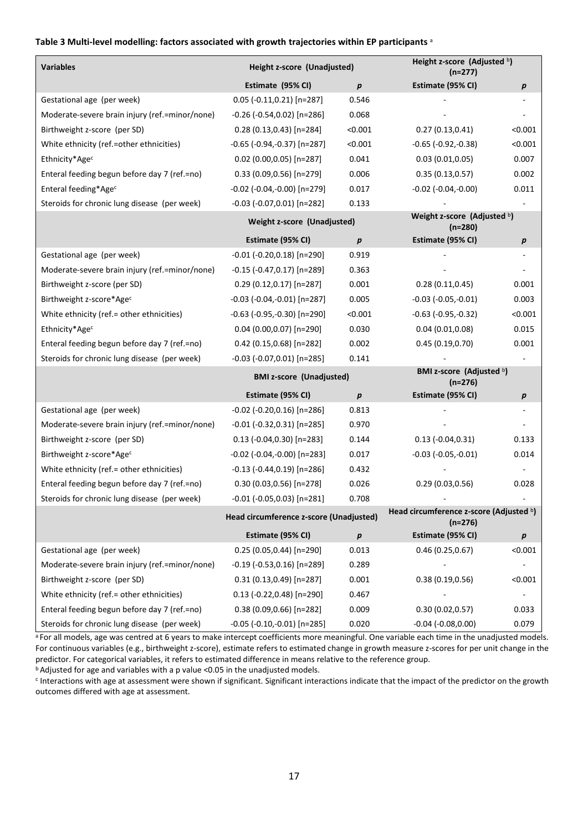#### **Table 3 Multi-level modelling: factors associated with growth trajectories within EP participants** <sup>a</sup>

| <b>Variables</b>                               | Height z-score (Unadjusted)             |                  | Height z-score (Adjusted b)<br>$(n=277)$             |                |  |
|------------------------------------------------|-----------------------------------------|------------------|------------------------------------------------------|----------------|--|
|                                                | Estimate (95% CI)                       | $\boldsymbol{p}$ | Estimate (95% CI)                                    | p              |  |
| Gestational age (per week)                     | $0.05$ (-0.11,0.21) [n=287]             | 0.546            |                                                      |                |  |
| Moderate-severe brain injury (ref.=minor/none) | $-0.26$ ( $-0.54, 0.02$ ) [n=286]       | 0.068            |                                                      |                |  |
| Birthweight z-score (per SD)                   | $0.28(0.13, 0.43)[n=284]$               | < 0.001          | 0.27(0.13,0.41)                                      | <0.001         |  |
| White ethnicity (ref.=other ethnicities)       | -0.65 (-0.94,-0.37) [n=287]             | < 0.001          | $-0.65$ ( $-0.92, -0.38$ )                           | < 0.001        |  |
| Ethnicity*Agec                                 | $0.02$ (0.00,0.05) [n=287]              | 0.041            | 0.03(0.01, 0.05)                                     | 0.007          |  |
| Enteral feeding begun before day 7 (ref.=no)   | 0.33 (0.09,0.56) [n=279]                | 0.006            | 0.35(0.13, 0.57)                                     | 0.002          |  |
| Enteral feeding*Age <sup>c</sup>               | $-0.02$ ( $-0.04, -0.00$ ) [n=279]      | 0.017            | $-0.02$ ( $-0.04$ , $-0.00$ )                        | 0.011          |  |
| Steroids for chronic lung disease (per week)   | $-0.03$ ( $-0.07,0.01$ ) [n=282]        | 0.133            |                                                      |                |  |
|                                                | Weight z-score (Unadjusted)             |                  | Weight z-score (Adjusted b)<br>$(n=280)$             |                |  |
|                                                | Estimate (95% CI)                       | $\boldsymbol{p}$ | Estimate (95% CI)                                    | p              |  |
| Gestational age (per week)                     | $-0.01$ ( $-0.20,0.18$ ) [n=290]        | 0.919            |                                                      |                |  |
| Moderate-severe brain injury (ref.=minor/none) | $-0.15$ ( $-0.47,0.17$ ) [n=289]        | 0.363            |                                                      |                |  |
| Birthweight z-score (per SD)                   | $0.29(0.12, 0.17)[n=287]$               | 0.001            | 0.28(0.11, 0.45)                                     | 0.001          |  |
| Birthweight z-score*Agec                       | $-0.03$ ( $-0.04$ , $-0.01$ ) [n=287]   | 0.005            | $-0.03$ $(-0.05,-0.01)$                              | 0.003          |  |
| White ethnicity (ref.= other ethnicities)      | $-0.63$ ( $-0.95, -0.30$ ) [n=290]      | < 0.001          | $-0.63$ $(-0.95,-0.32)$                              | < 0.001        |  |
| Ethnicity*Age <sup>c</sup>                     | 0.04 (0.00,0.07) [n=290]                | 0.030            | 0.04(0.01, 0.08)                                     | 0.015          |  |
| Enteral feeding begun before day 7 (ref.=no)   | $0.42$ (0.15,0.68) [n=282]              | 0.002            | 0.45(0.19, 0.70)                                     | 0.001          |  |
| Steroids for chronic lung disease (per week)   | $-0.03$ ( $-0.07,0.01$ ) [n=285]        | 0.141            |                                                      |                |  |
|                                                | <b>BMI z-score (Unadjusted)</b>         |                  | BMI z-score (Adjusted b)<br>$(n=276)$                |                |  |
|                                                | Estimate (95% CI)                       | $\boldsymbol{p}$ | Estimate (95% CI)                                    | р              |  |
| Gestational age (per week)                     | $-0.02$ ( $-0.20,0.16$ ) [n=286]        | 0.813            |                                                      |                |  |
| Moderate-severe brain injury (ref.=minor/none) | $-0.01$ ( $-0.32,0.31$ ) [n=285]        | 0.970            |                                                      |                |  |
| Birthweight z-score (per SD)                   | $0.13$ (-0.04,0.30) [n=283]             | 0.144            | $0.13 (-0.04, 0.31)$                                 | 0.133          |  |
| Birthweight z-score*Agec                       | $-0.02$ ( $-0.04$ , $-0.00$ ) [n=283]   | 0.017            | $-0.03$ $(-0.05,-0.01)$                              | 0.014          |  |
| White ethnicity (ref.= other ethnicities)      | $-0.13$ ( $-0.44, 0.19$ ) [n=286]       | 0.432            |                                                      |                |  |
| Enteral feeding begun before day 7 (ref.=no)   | 0.30 (0.03,0.56) [n=278]                | 0.026            | 0.29(0.03, 0.56)                                     | 0.028          |  |
| Steroids for chronic lung disease (per week)   | $-0.01$ ( $-0.05,0.03$ ) [n=281]        | 0.708            |                                                      |                |  |
|                                                | Head circumference z-score (Unadjusted) |                  | Head circumference z-score (Adjusted b)<br>$(n=276)$ |                |  |
|                                                | Estimate (95% CI)                       | $\pmb{p}$        | Estimate (95% CI)                                    | р              |  |
| Gestational age (per week)                     | $0.25(0.05, 0.44)[n=290]$               | 0.013            | 0.46(0.25, 0.67)                                     | < 0.001        |  |
| Moderate-severe brain injury (ref.=minor/none) | $-0.19$ ( $-0.53,0.16$ ) [n=289]        | 0.289            |                                                      | ÷              |  |
| Birthweight z-score (per SD)                   | $0.31(0.13, 0.49)$ [n=287]              | 0.001            | 0.38(0.19, 0.56)                                     | < 0.001        |  |
| White ethnicity (ref.= other ethnicities)      | $0.13$ (-0.22,0.48) [n=290]             | 0.467            |                                                      | $\overline{a}$ |  |
| Enteral feeding begun before day 7 (ref.=no)   | $0.38(0.09, 0.66)[n=282]$               | 0.009            | 0.30(0.02, 0.57)                                     | 0.033          |  |
| Steroids for chronic lung disease (per week)   | $-0.05$ ( $-0.10, -0.01$ ) [n=285]      | 0.020            | $-0.04$ $(-0.08, 0.00)$                              | 0.079          |  |

a For all models, age was centred at 6 years to make intercept coefficients more meaningful. One variable each time in the unadjusted models. For continuous variables (e.g., birthweight z-score), estimate refers to estimated change in growth measure z-scores for per unit change in the predictor. For categorical variables, it refers to estimated difference in means relative to the reference group. **b**Adjusted for age and variables with a p value <0.05 in the unadjusted models.

<sup>c</sup> Interactions with age at assessment were shown if significant. Significant interactions indicate that the impact of the predictor on the growth outcomes differed with age at assessment.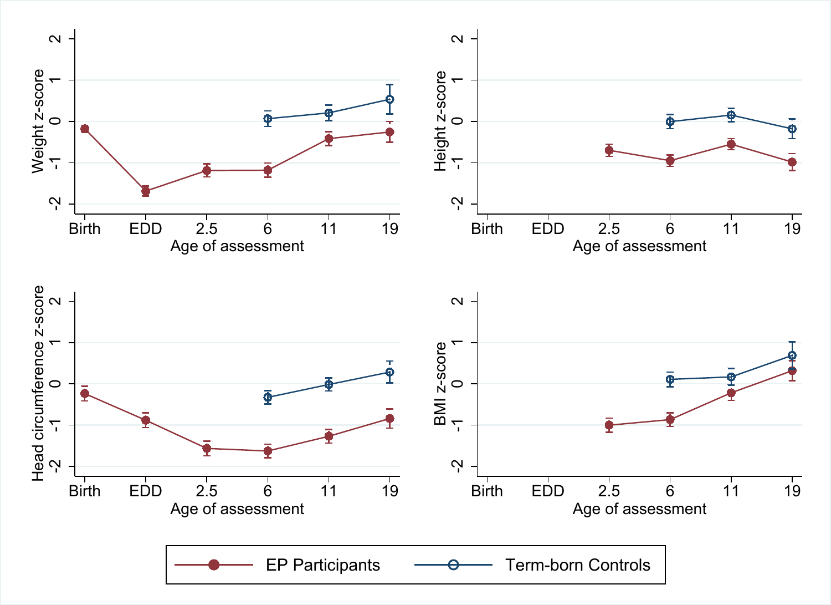